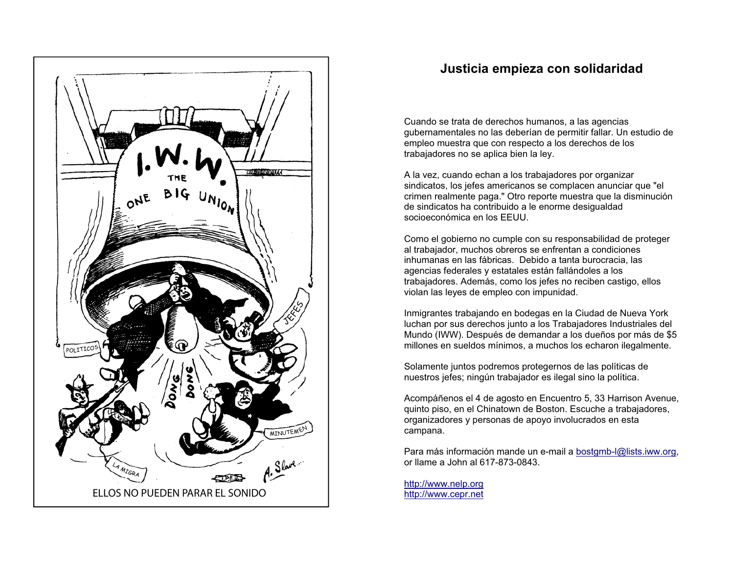

## **Justicia empieza con solidaridad**

Cuando se trata de derechos humanos, a las agencias gubernamentales no las deberían de permitir fallar. Un estudio de empleo muestra que con respecto a los derechos de los trabajadores no se aplica bien la ley.

A la vez, cuando echan a los trabajadores por organizar sindicatos, los jefes americanos se complacen anunciar que "el crimen realmente paga." Otro reporte muestra que la disminución de sindicatos ha contribuido a le enorme desigualdad socioeconómica en los EEUU.

Como el gobierno no cumple con su responsabilidad de proteger al trabajador, muchos obreros se enfrentan a condiciones inhumanas en las fábricas. Debido a tanta burocracia, las agencias federales y estatales están fallándoles a los trabajadores. Además, como los jefes no reciben castigo, ellos violan las leyes de empleo con impunidad.

Inmigrantes trabajando en bodegas en la Ciudad de Nueva York luchan por sus derechos junto a los Trabajadores Industriales del Mundo (IWW). Después de demandar a los dueños por más de \$5 millones en sueldos mínimos, a muchos los echaron ilegalmente.

Solamente juntos podremos protegernos de las políticas de nuestros jefes; ningún trabajador es ilegal sino la política.

Acompáñenos el 4 de agosto en Encuentro 5, 33 Harrison Avenue, quinto piso, en el Chinatown de Boston. Escuche a trabajadores, organizadores y personas de apoyo involucrados en esta campana.

Para más información mande un e-mail a bostgmb-l@lists.iww.org, or llame a John al 617-873-0843.

http://www.nelp.org http://www.cepr.net